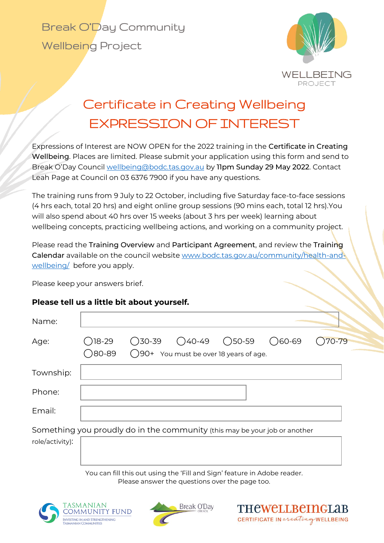

## Certificate in Creating Wellbeing EXPRESSION OF INTEREST

Expressions of Interest are NOW OPEN for the 2022 training in the Certificate in Creating Wellbeing. Places are limited. Please submit your application using this form and send to Break O'Day Council [wellbeing@bodc.tas.gov.au](mailto:wellbeing@bodc.tas.gov.au) by 11pm Sunday 29 May 2022. Contact Leah Page at Council on 03 6376 7900 if you have any questions.

The training runs from 9 July to 22 October, including five Saturday face-to-face sessions (4 hrs each, total 20 hrs) and eight online group sessions (90 mins each, total 12 hrs).You will also spend about 40 hrs over 15 weeks (about 3 hrs per week) learning about wellbeing concepts, practicing wellbeing actions, and working on a community project.

Please read the Training Overview and Participant Agreement, and review the Training Calendar available on the council website [www.bodc.tas.gov.au/community/health-and](http://www.bodc.tas.gov.au/community/health-and-wellbeing/)[wellbeing/](http://www.bodc.tas.gov.au/community/health-and-wellbeing/) before you apply.

Please keep your answers brief.

## **Please tell us a little bit about yourself.**

| <b>)18-29</b><br><b>30-89</b> |  | $()60-69$ | $70 - 79$                                                                                                                                                                  |
|-------------------------------|--|-----------|----------------------------------------------------------------------------------------------------------------------------------------------------------------------------|
|                               |  |           |                                                                                                                                                                            |
|                               |  |           |                                                                                                                                                                            |
|                               |  |           |                                                                                                                                                                            |
|                               |  |           |                                                                                                                                                                            |
|                               |  |           |                                                                                                                                                                            |
|                               |  |           | $\bigcirc$ 30-39 $\bigcirc$ 40-49 $\bigcirc$ 50-59<br>◯90+ You must be over 18 years of age.<br>Something you proudly do in the community (this may be your job or another |

You can fill this out using the 'Fill and Sign' feature in Adobe reader. Please answer the questions over the page too.